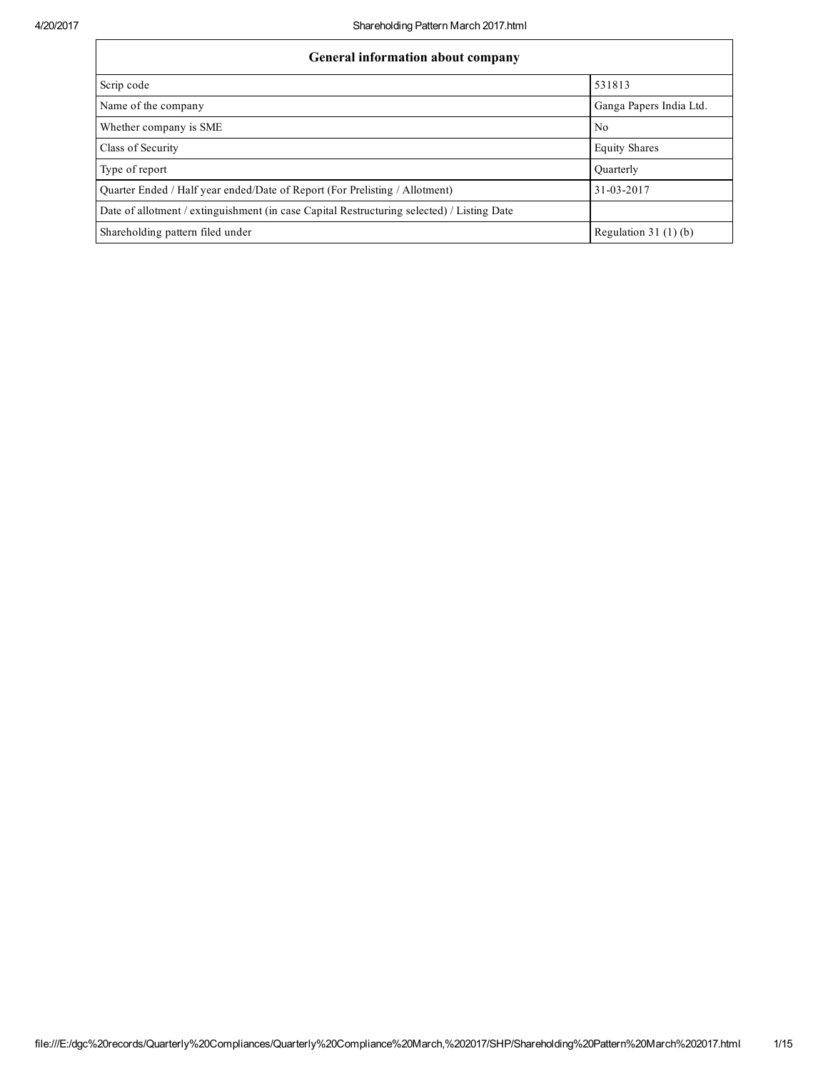| General information about company                                                          |                         |  |  |  |  |  |  |
|--------------------------------------------------------------------------------------------|-------------------------|--|--|--|--|--|--|
| Scrip code                                                                                 | 531813                  |  |  |  |  |  |  |
| Name of the company                                                                        | Ganga Papers India Ltd. |  |  |  |  |  |  |
| Whether company is SME                                                                     | N <sub>0</sub>          |  |  |  |  |  |  |
| Class of Security                                                                          | <b>Equity Shares</b>    |  |  |  |  |  |  |
| Type of report                                                                             | Ouarterly               |  |  |  |  |  |  |
| Ouarter Ended / Half year ended/Date of Report (For Prelisting / Allotment)                | 31-03-2017              |  |  |  |  |  |  |
| Date of allotment / extinguishment (in case Capital Restructuring selected) / Listing Date |                         |  |  |  |  |  |  |
| Shareholding pattern filed under                                                           | Regulation 31 $(1)(b)$  |  |  |  |  |  |  |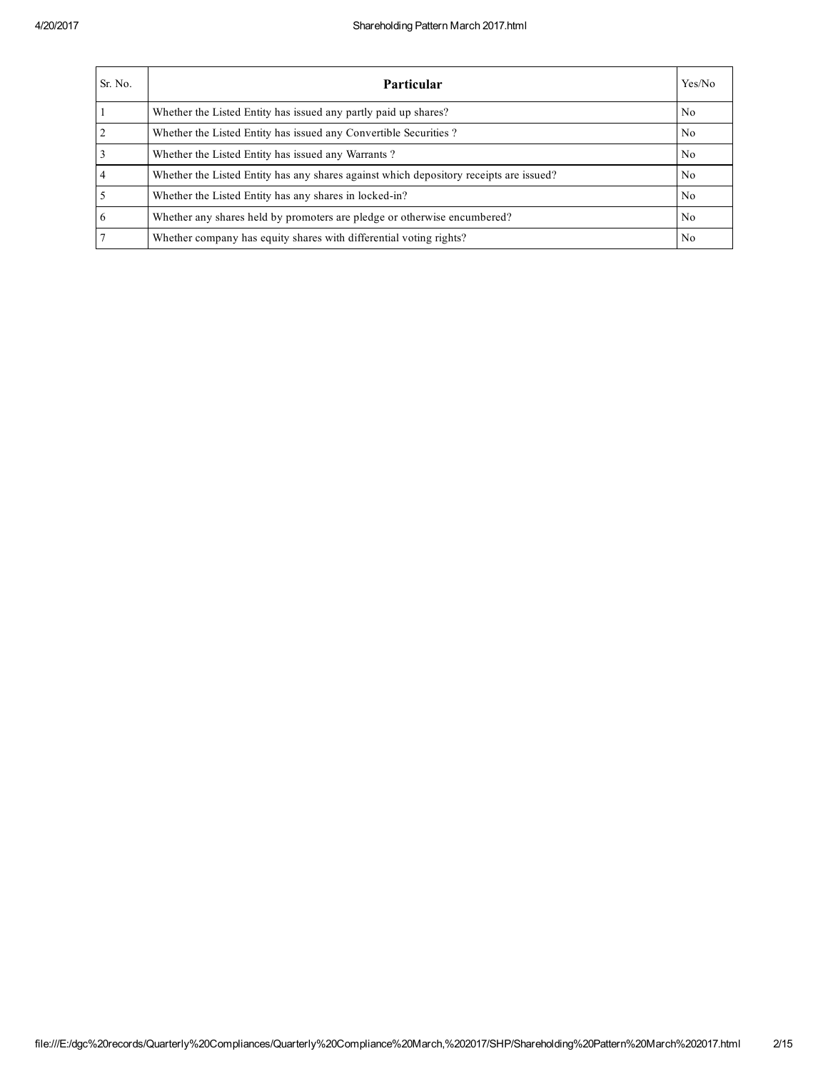| Sr. No.        | <b>Particular</b>                                                                      | Yes/No         |
|----------------|----------------------------------------------------------------------------------------|----------------|
|                | Whether the Listed Entity has issued any partly paid up shares?                        | N <sub>0</sub> |
| $\overline{2}$ | Whether the Listed Entity has issued any Convertible Securities?                       | No             |
| $\overline{3}$ | Whether the Listed Entity has issued any Warrants?                                     | No             |
| $\overline{4}$ | Whether the Listed Entity has any shares against which depository receipts are issued? | No.            |
| $\overline{5}$ | Whether the Listed Entity has any shares in locked-in?                                 | N <sub>0</sub> |
| 6              | Whether any shares held by promoters are pledge or otherwise encumbered?               | N <sub>0</sub> |
| $\overline{7}$ | Whether company has equity shares with differential voting rights?                     | No             |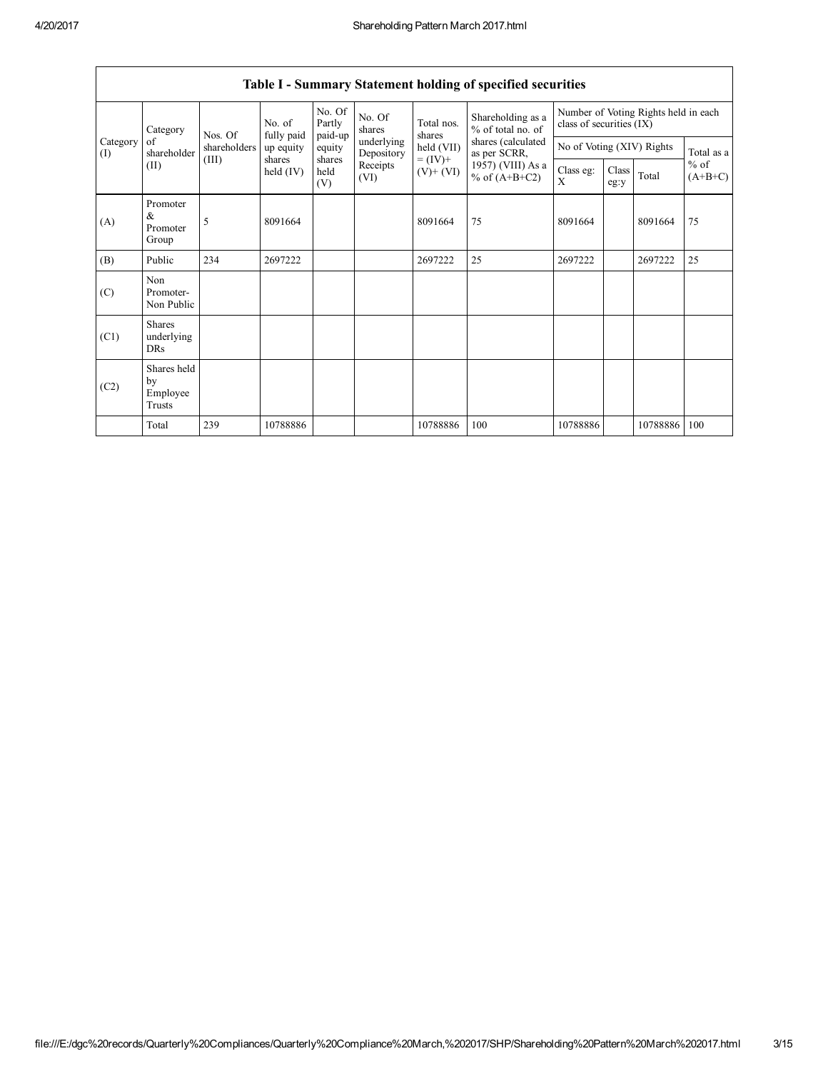|                 | Category                                | Nos. Of      | No. of<br>fully paid  | No. Of<br>Partly<br>paid-up | No. Of<br>shares         | Total nos.<br>shares<br>held (VII)<br>$= (IV) +$<br>$(V)+(VI)$ | Shareholding as a<br>% of total no. of<br>shares (calculated<br>as per SCRR,<br>1957) (VIII) As a<br>% of $(A+B+C2)$ | Number of Voting Rights held in each<br>class of securities (IX) |               |          |                     |
|-----------------|-----------------------------------------|--------------|-----------------------|-----------------------------|--------------------------|----------------------------------------------------------------|----------------------------------------------------------------------------------------------------------------------|------------------------------------------------------------------|---------------|----------|---------------------|
| Category<br>(I) | of<br>shareholder                       | shareholders | up equity             | equity                      | underlying<br>Depository |                                                                |                                                                                                                      | No of Voting (XIV) Rights                                        |               |          | Total as a          |
|                 | (II)                                    | (III)        | shares<br>held $(IV)$ | shares<br>held<br>(V)       | Receipts<br>(VI)         |                                                                |                                                                                                                      | Class eg:<br>X                                                   | Class<br>eg:y | Total    | $%$ of<br>$(A+B+C)$ |
| (A)             | Promoter<br>$\&$<br>Promoter<br>Group   | 5            | 8091664               |                             |                          | 8091664                                                        | 75                                                                                                                   | 8091664                                                          |               | 8091664  | 75                  |
| (B)             | Public                                  | 234          | 2697222               |                             |                          | 2697222                                                        | 25                                                                                                                   | 2697222                                                          |               | 2697222  | 25                  |
| (C)             | Non<br>Promoter-<br>Non Public          |              |                       |                             |                          |                                                                |                                                                                                                      |                                                                  |               |          |                     |
| (C1)            | <b>Shares</b><br>underlying<br>DRs      |              |                       |                             |                          |                                                                |                                                                                                                      |                                                                  |               |          |                     |
| (C2)            | Shares held<br>by<br>Employee<br>Trusts |              |                       |                             |                          |                                                                |                                                                                                                      |                                                                  |               |          |                     |
|                 | Total                                   | 239          | 10788886              |                             |                          | 10788886                                                       | 100                                                                                                                  | 10788886                                                         |               | 10788886 | 100                 |

## Table I - Summary Statement holding of specified securities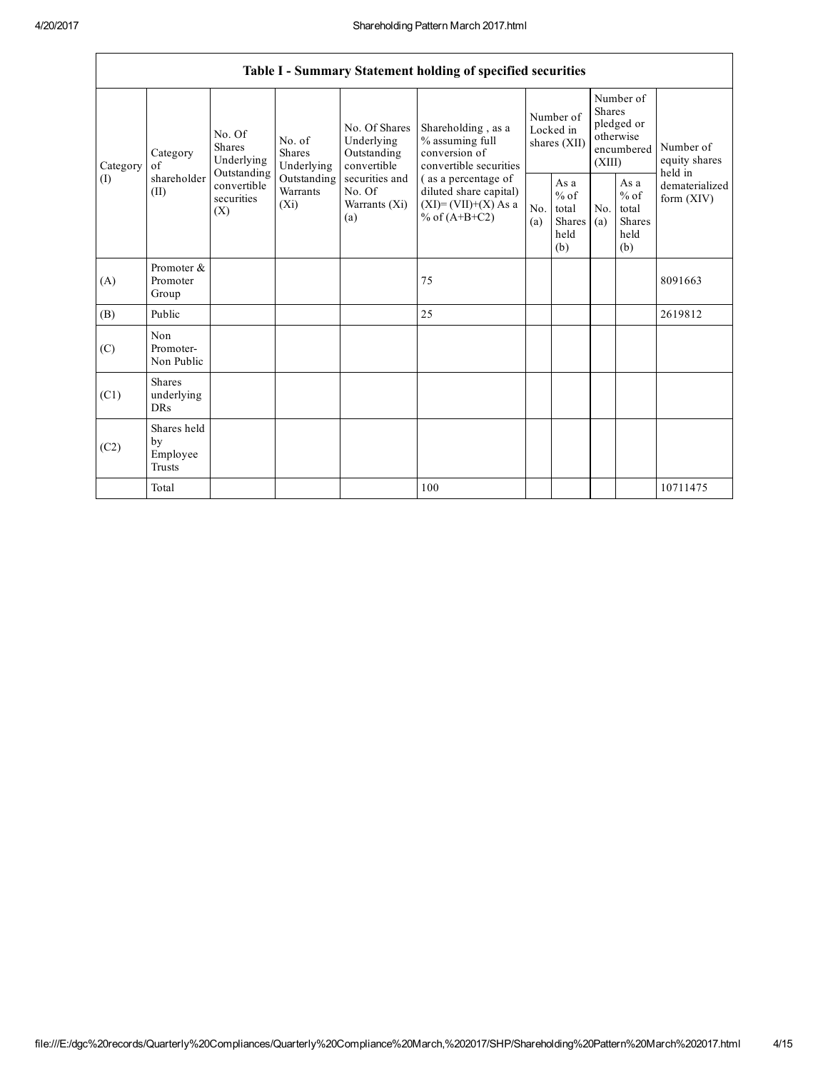٦

|          | Table I - Summary Statement holding of specified securities                                                                                                                                                                                                                                                                       |                                                                                           |            |                                                  |                                                                                  |                                                         |                                |                                                                               |  |                                       |
|----------|-----------------------------------------------------------------------------------------------------------------------------------------------------------------------------------------------------------------------------------------------------------------------------------------------------------------------------------|-------------------------------------------------------------------------------------------|------------|--------------------------------------------------|----------------------------------------------------------------------------------|---------------------------------------------------------|--------------------------------|-------------------------------------------------------------------------------|--|---------------------------------------|
| Category | No. Of Shares<br>No. Of<br>Underlying<br>No. of<br><b>Shares</b><br><b>Shares</b><br>Outstanding<br>Category<br>Underlying<br>convertible<br>Underlying<br>of<br>Outstanding<br>shareholder<br>Outstanding<br>securities and<br>convertible<br>(II)<br>Warrants<br>No. Of<br>securities<br>$(X_i)$<br>Warrants (Xi)<br>(X)<br>(a) |                                                                                           |            |                                                  | Shareholding, as a<br>% assuming full<br>conversion of<br>convertible securities | Number of<br>Locked in<br>shares (XII)                  |                                | Number of<br><b>Shares</b><br>pledged or<br>otherwise<br>encumbered<br>(XIII) |  | Number of<br>equity shares<br>held in |
| (I)      |                                                                                                                                                                                                                                                                                                                                   | (as a percentage of<br>diluted share capital)<br>$(XI)=(VII)+(X) As a$<br>% of $(A+B+C2)$ | No.<br>(a) | As a<br>$%$ of<br>total<br>Shares<br>held<br>(b) | No.<br>(a)                                                                       | As a<br>$%$ of<br>total<br><b>Shares</b><br>held<br>(b) | dematerialized<br>form $(XIV)$ |                                                                               |  |                                       |
| (A)      | Promoter &<br>Promoter<br>Group                                                                                                                                                                                                                                                                                                   |                                                                                           |            |                                                  | 75                                                                               |                                                         |                                |                                                                               |  | 8091663                               |
| (B)      | Public                                                                                                                                                                                                                                                                                                                            |                                                                                           |            |                                                  | 25                                                                               |                                                         |                                |                                                                               |  | 2619812                               |
| (C)      | Non<br>Promoter-<br>Non Public                                                                                                                                                                                                                                                                                                    |                                                                                           |            |                                                  |                                                                                  |                                                         |                                |                                                                               |  |                                       |
| (C1)     | <b>Shares</b><br>underlying<br><b>DRs</b>                                                                                                                                                                                                                                                                                         |                                                                                           |            |                                                  |                                                                                  |                                                         |                                |                                                                               |  |                                       |
| (C2)     | Shares held<br>by<br>Employee<br>Trusts                                                                                                                                                                                                                                                                                           |                                                                                           |            |                                                  |                                                                                  |                                                         |                                |                                                                               |  |                                       |
|          | Total                                                                                                                                                                                                                                                                                                                             |                                                                                           |            |                                                  | 100                                                                              |                                                         |                                |                                                                               |  | 10711475                              |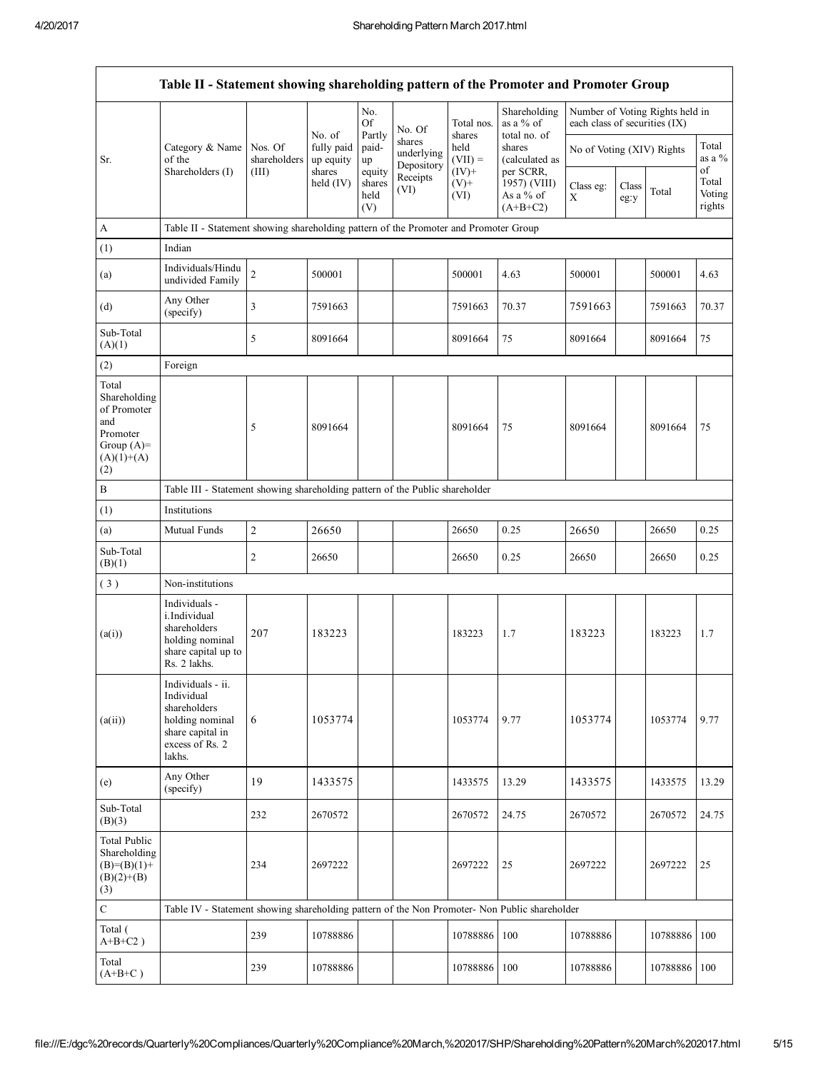|                                                                                                | Table II - Statement showing shareholding pattern of the Promoter and Promoter Group                                |                                                                              |                                   |                       |                                    |                              |                                           |                               |               |                                 |                           |
|------------------------------------------------------------------------------------------------|---------------------------------------------------------------------------------------------------------------------|------------------------------------------------------------------------------|-----------------------------------|-----------------------|------------------------------------|------------------------------|-------------------------------------------|-------------------------------|---------------|---------------------------------|---------------------------|
|                                                                                                |                                                                                                                     |                                                                              | No. of                            | No.<br>Of<br>Partly   | No. Of                             | Total nos.<br>shares         | Shareholding<br>as a % of<br>total no. of | each class of securities (IX) |               | Number of Voting Rights held in |                           |
| Sr.                                                                                            | Category & Name<br>of the<br>Shareholders (I)                                                                       | Nos. Of<br>shareholders<br>(III)                                             | fully paid<br>up equity<br>shares | paid-<br>up<br>equity | shares<br>underlying<br>Depository | held<br>$(VII) =$<br>$(IV)+$ | shares<br>(calculated as<br>per SCRR,     | No of Voting (XIV) Rights     |               |                                 | Total<br>as a $%$<br>of   |
|                                                                                                |                                                                                                                     |                                                                              | held (IV)                         | shares<br>held<br>(V) | Receipts<br>(VI)                   | $(V)$ +<br>(VI)              | 1957) (VIII)<br>As a % of<br>$(A+B+C2)$   | Class eg:<br>X                | Class<br>eg:y | Total                           | Total<br>Voting<br>rights |
| A                                                                                              | Table II - Statement showing shareholding pattern of the Promoter and Promoter Group                                |                                                                              |                                   |                       |                                    |                              |                                           |                               |               |                                 |                           |
| (1)                                                                                            | Indian                                                                                                              |                                                                              |                                   |                       |                                    |                              |                                           |                               |               |                                 |                           |
| (a)                                                                                            | Individuals/Hindu<br>undivided Family                                                                               | $\overline{2}$                                                               | 500001                            |                       |                                    | 500001                       | 4.63                                      | 500001                        |               | 500001                          | 4.63                      |
| (d)                                                                                            | Any Other<br>(specify)                                                                                              | 3                                                                            | 7591663                           |                       |                                    | 7591663                      | 70.37                                     | 7591663                       |               | 7591663                         | 70.37                     |
| Sub-Total<br>(A)(1)                                                                            |                                                                                                                     | 5                                                                            | 8091664                           |                       |                                    | 8091664                      | 75                                        | 8091664                       |               | 8091664                         | 75                        |
| (2)                                                                                            | Foreign                                                                                                             |                                                                              |                                   |                       |                                    |                              |                                           |                               |               |                                 |                           |
| Total<br>Shareholding<br>of Promoter<br>and<br>Promoter<br>Group $(A)=$<br>$(A)(1)+(A)$<br>(2) |                                                                                                                     | 5                                                                            | 8091664                           |                       |                                    | 8091664                      | 75                                        | 8091664                       |               | 8091664                         | 75                        |
| $\, {\bf B}$                                                                                   |                                                                                                                     | Table III - Statement showing shareholding pattern of the Public shareholder |                                   |                       |                                    |                              |                                           |                               |               |                                 |                           |
| (1)                                                                                            | Institutions                                                                                                        |                                                                              |                                   |                       |                                    |                              |                                           |                               |               |                                 |                           |
| (a)                                                                                            | Mutual Funds                                                                                                        | $\overline{2}$                                                               | 26650                             |                       |                                    | 26650                        | 0.25                                      | 26650                         |               | 26650                           | 0.25                      |
| Sub-Total<br>(B)(1)                                                                            |                                                                                                                     | $\overline{2}$                                                               | 26650                             |                       |                                    | 26650                        | 0.25                                      | 26650                         |               | 26650                           | 0.25                      |
| (3)                                                                                            | Non-institutions                                                                                                    |                                                                              |                                   |                       |                                    |                              |                                           |                               |               |                                 |                           |
| (a(i))                                                                                         | Individuals -<br>i.Individual<br>shareholders<br>holding nominal<br>share capital up to<br>Rs. 2 lakhs.             | 207                                                                          | 183223                            |                       |                                    | 183223                       | 1.7                                       | 183223                        |               | 183223                          | 1.7                       |
| (a(ii))                                                                                        | Individuals - ii.<br>Individual<br>shareholders<br>holding nominal<br>share capital in<br>excess of Rs. 2<br>lakhs. | 6                                                                            | 1053774                           |                       |                                    | 1053774                      | 9.77                                      | 1053774                       |               | 1053774                         | 9.77                      |
| (e)                                                                                            | Any Other<br>(specify)                                                                                              | 19                                                                           | 1433575                           |                       |                                    | 1433575                      | 13.29                                     | 1433575                       |               | 1433575                         | 13.29                     |
| Sub-Total<br>(B)(3)                                                                            |                                                                                                                     | 232                                                                          | 2670572                           |                       |                                    | 2670572                      | 24.75                                     | 2670572                       |               | 2670572                         | 24.75                     |
| <b>Total Public</b><br>Shareholding<br>$(B)=(B)(1)+$<br>$(B)(2)+(B)$<br>(3)                    |                                                                                                                     | 234                                                                          | 2697222                           |                       |                                    | 2697222                      | 25                                        | 2697222                       |               | 2697222                         | 25                        |
| $\mathbf C$                                                                                    | Table IV - Statement showing shareholding pattern of the Non Promoter- Non Public shareholder                       |                                                                              |                                   |                       |                                    |                              |                                           |                               |               |                                 |                           |
| Total (<br>$A+B+C2$ )                                                                          |                                                                                                                     | 239                                                                          | 10788886                          |                       |                                    | 10788886                     | 100                                       | 10788886                      |               | 10788886                        | 100                       |
| Total<br>$(A+B+C)$                                                                             |                                                                                                                     | 239                                                                          | 10788886                          |                       |                                    | 10788886                     | 100                                       | 10788886                      |               | 10788886                        | 100                       |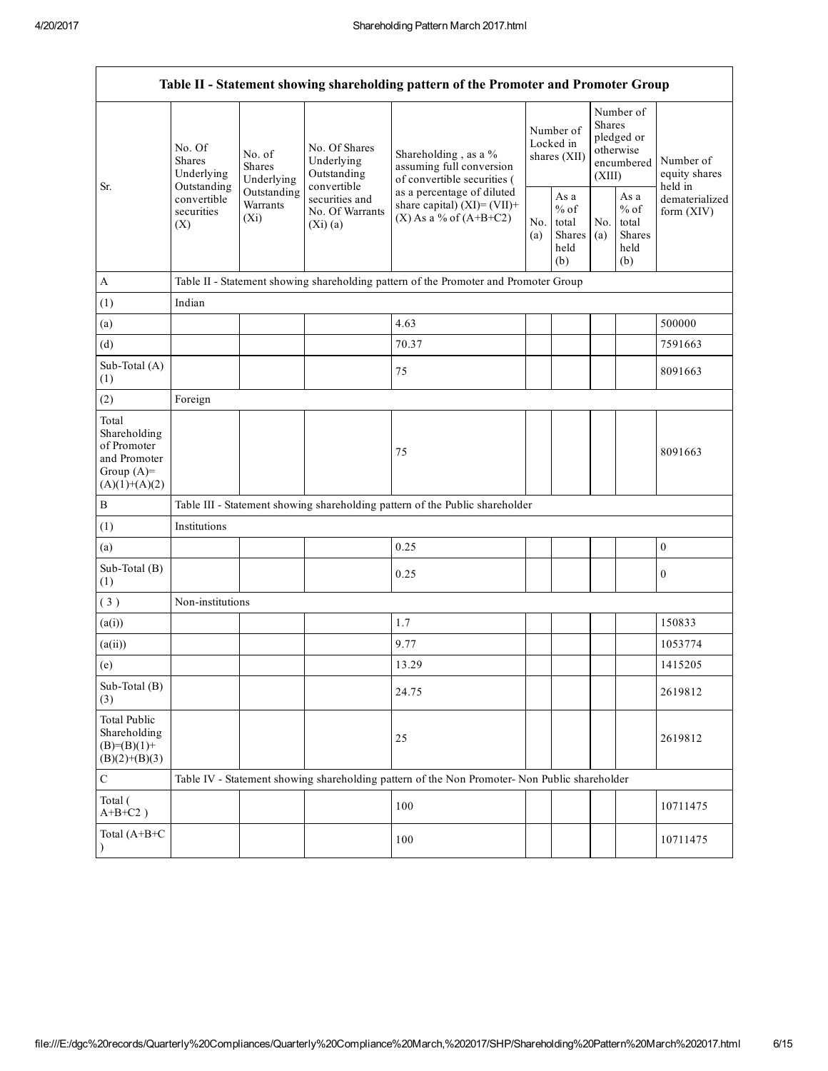| Table II - Statement showing shareholding pattern of the Promoter and Promoter Group    |                                                                                                                                            |             |                                                           |                                                                                                                                                                                |  |                                                  |            |                                                                               |                                       |
|-----------------------------------------------------------------------------------------|--------------------------------------------------------------------------------------------------------------------------------------------|-------------|-----------------------------------------------------------|--------------------------------------------------------------------------------------------------------------------------------------------------------------------------------|--|--------------------------------------------------|------------|-------------------------------------------------------------------------------|---------------------------------------|
| Sr.                                                                                     | No. Of<br>No. of<br><b>Shares</b><br><b>Shares</b><br>Underlying<br>Outstanding<br>convertible<br>Warrants<br>securities<br>$(X_i)$<br>(X) | Underlying  | No. Of Shares<br>Underlying<br>Outstanding<br>convertible | Shareholding, as a %<br>assuming full conversion<br>of convertible securities (<br>as a percentage of diluted<br>share capital) $(XI) = (VII) +$<br>$(X)$ As a % of $(A+B+C2)$ |  | Number of<br>Locked in<br>shares (XII)           |            | Number of<br><b>Shares</b><br>pledged or<br>otherwise<br>encumbered<br>(XIII) | Number of<br>equity shares<br>held in |
|                                                                                         |                                                                                                                                            | Outstanding | securities and<br>No. Of Warrants<br>(Xi)(a)              |                                                                                                                                                                                |  | As a<br>$%$ of<br>total<br>Shares<br>held<br>(b) | No.<br>(a) | As a<br>$%$ of<br>total<br>Shares<br>held<br>(b)                              | dematerialized<br>form (XIV)          |
| $\mathbf{A}$                                                                            |                                                                                                                                            |             |                                                           | Table II - Statement showing shareholding pattern of the Promoter and Promoter Group                                                                                           |  |                                                  |            |                                                                               |                                       |
| (1)                                                                                     | Indian                                                                                                                                     |             |                                                           |                                                                                                                                                                                |  |                                                  |            |                                                                               |                                       |
| (a)                                                                                     |                                                                                                                                            |             |                                                           | 4.63                                                                                                                                                                           |  |                                                  |            |                                                                               | 500000                                |
| (d)                                                                                     |                                                                                                                                            |             |                                                           | 70.37                                                                                                                                                                          |  |                                                  |            |                                                                               | 7591663                               |
| Sub-Total (A)<br>(1)                                                                    |                                                                                                                                            |             |                                                           | 75                                                                                                                                                                             |  |                                                  |            |                                                                               | 8091663                               |
| (2)                                                                                     | Foreign                                                                                                                                    |             |                                                           |                                                                                                                                                                                |  |                                                  |            |                                                                               |                                       |
| Total<br>Shareholding<br>of Promoter<br>and Promoter<br>Group $(A)=$<br>$(A)(1)+(A)(2)$ |                                                                                                                                            |             |                                                           | 75                                                                                                                                                                             |  |                                                  |            |                                                                               | 8091663                               |
| $\, {\bf B}$                                                                            |                                                                                                                                            |             |                                                           | Table III - Statement showing shareholding pattern of the Public shareholder                                                                                                   |  |                                                  |            |                                                                               |                                       |
| (1)                                                                                     | Institutions                                                                                                                               |             |                                                           |                                                                                                                                                                                |  |                                                  |            |                                                                               |                                       |
| (a)                                                                                     |                                                                                                                                            |             |                                                           | 0.25                                                                                                                                                                           |  |                                                  |            |                                                                               | $\boldsymbol{0}$                      |
| Sub-Total (B)<br>(1)                                                                    |                                                                                                                                            |             |                                                           | 0.25                                                                                                                                                                           |  |                                                  |            |                                                                               | $\boldsymbol{0}$                      |
| (3)                                                                                     | Non-institutions                                                                                                                           |             |                                                           |                                                                                                                                                                                |  |                                                  |            |                                                                               |                                       |
| (a(i))                                                                                  |                                                                                                                                            |             |                                                           | 1.7                                                                                                                                                                            |  |                                                  |            |                                                                               | 150833                                |
| (a(ii))                                                                                 |                                                                                                                                            |             |                                                           | 9.77                                                                                                                                                                           |  |                                                  |            |                                                                               | 1053774                               |
| (e)                                                                                     |                                                                                                                                            |             |                                                           | 13.29                                                                                                                                                                          |  |                                                  |            |                                                                               | 1415205                               |
| Sub-Total (B)<br>(3)                                                                    |                                                                                                                                            |             |                                                           | 24.75                                                                                                                                                                          |  |                                                  |            |                                                                               | 2619812                               |
| <b>Total Public</b><br>Shareholding<br>$(B)= (B)(1) +$<br>$(B)(2)+(B)(3)$               |                                                                                                                                            |             |                                                           | 25                                                                                                                                                                             |  |                                                  |            |                                                                               | 2619812                               |
| $\mathsf C$                                                                             |                                                                                                                                            |             |                                                           | Table IV - Statement showing shareholding pattern of the Non Promoter- Non Public shareholder                                                                                  |  |                                                  |            |                                                                               |                                       |
| Total (<br>$A+B+C2$ )                                                                   |                                                                                                                                            |             |                                                           | 100                                                                                                                                                                            |  |                                                  |            |                                                                               | 10711475                              |
| Total (A+B+C<br>$\mathcal{E}$                                                           |                                                                                                                                            |             |                                                           | 100                                                                                                                                                                            |  |                                                  |            |                                                                               | 10711475                              |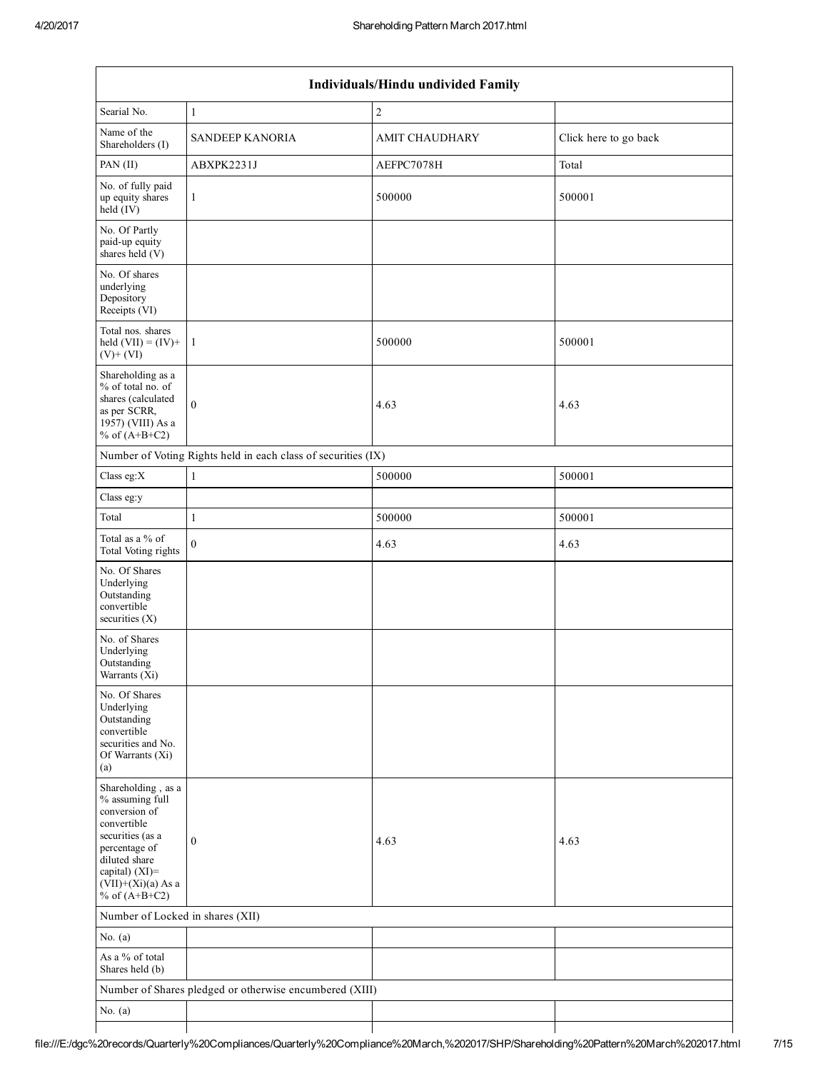$\mathsf I$ 

| Individuals/Hindu undivided Family                                                                                                                                                          |                                                               |                       |                       |  |  |  |  |  |
|---------------------------------------------------------------------------------------------------------------------------------------------------------------------------------------------|---------------------------------------------------------------|-----------------------|-----------------------|--|--|--|--|--|
| Searial No.                                                                                                                                                                                 | $\mathbf{1}$                                                  | $\sqrt{2}$            |                       |  |  |  |  |  |
| Name of the<br>Shareholders (I)                                                                                                                                                             | <b>SANDEEP KANORIA</b>                                        | <b>AMIT CHAUDHARY</b> | Click here to go back |  |  |  |  |  |
| PAN (II)                                                                                                                                                                                    | ABXPK2231J                                                    | AEFPC7078H            | Total                 |  |  |  |  |  |
| No. of fully paid<br>up equity shares<br>held (IV)                                                                                                                                          | $\mathbf{1}$                                                  | 500000                | 500001                |  |  |  |  |  |
| No. Of Partly<br>paid-up equity<br>shares held (V)                                                                                                                                          |                                                               |                       |                       |  |  |  |  |  |
| No. Of shares<br>underlying<br>Depository<br>Receipts (VI)                                                                                                                                  |                                                               |                       |                       |  |  |  |  |  |
| Total nos. shares<br>held $(VII) = (IV) +$<br>$(V)$ + $(VI)$                                                                                                                                | $\mathbf{1}$                                                  | 500000                | 500001                |  |  |  |  |  |
| Shareholding as a<br>% of total no. of<br>shares (calculated<br>as per SCRR,<br>1957) (VIII) As a<br>% of $(A+B+C2)$                                                                        | $\mathbf{0}$                                                  | 4.63                  | 4.63                  |  |  |  |  |  |
|                                                                                                                                                                                             | Number of Voting Rights held in each class of securities (IX) |                       |                       |  |  |  |  |  |
| Class eg:X                                                                                                                                                                                  | $\mathbf{1}$                                                  | 500000                | 500001                |  |  |  |  |  |
| Class eg:y                                                                                                                                                                                  |                                                               |                       |                       |  |  |  |  |  |
| Total                                                                                                                                                                                       | $\mathbf{1}$                                                  | 500000                | 500001                |  |  |  |  |  |
| Total as a % of<br>Total Voting rights                                                                                                                                                      | $\mathbf{0}$                                                  | 4.63                  | 4.63                  |  |  |  |  |  |
| No. Of Shares<br>Underlying<br>Outstanding<br>convertible<br>securities (X)                                                                                                                 |                                                               |                       |                       |  |  |  |  |  |
| No. of Shares<br>Underlying<br>Outstanding<br>Warrants $(X_1)$                                                                                                                              |                                                               |                       |                       |  |  |  |  |  |
| No. Of Shares<br>Underlying<br>Outstanding<br>convertible<br>securities and No.<br>Of Warrants (Xi)<br>(a)                                                                                  |                                                               |                       |                       |  |  |  |  |  |
| Shareholding, as a<br>% assuming full<br>conversion of<br>convertible<br>securities (as a<br>percentage of<br>diluted share<br>capital) $(XI)$ =<br>$(VII)+(Xi)(a)$ As a<br>% of $(A+B+C2)$ | $\mathbf{0}$                                                  | 4.63                  | 4.63                  |  |  |  |  |  |
| Number of Locked in shares (XII)                                                                                                                                                            |                                                               |                       |                       |  |  |  |  |  |
| No. $(a)$                                                                                                                                                                                   |                                                               |                       |                       |  |  |  |  |  |
| As a % of total<br>Shares held (b)                                                                                                                                                          |                                                               |                       |                       |  |  |  |  |  |
|                                                                                                                                                                                             | Number of Shares pledged or otherwise encumbered (XIII)       |                       |                       |  |  |  |  |  |
| No. $(a)$                                                                                                                                                                                   |                                                               |                       |                       |  |  |  |  |  |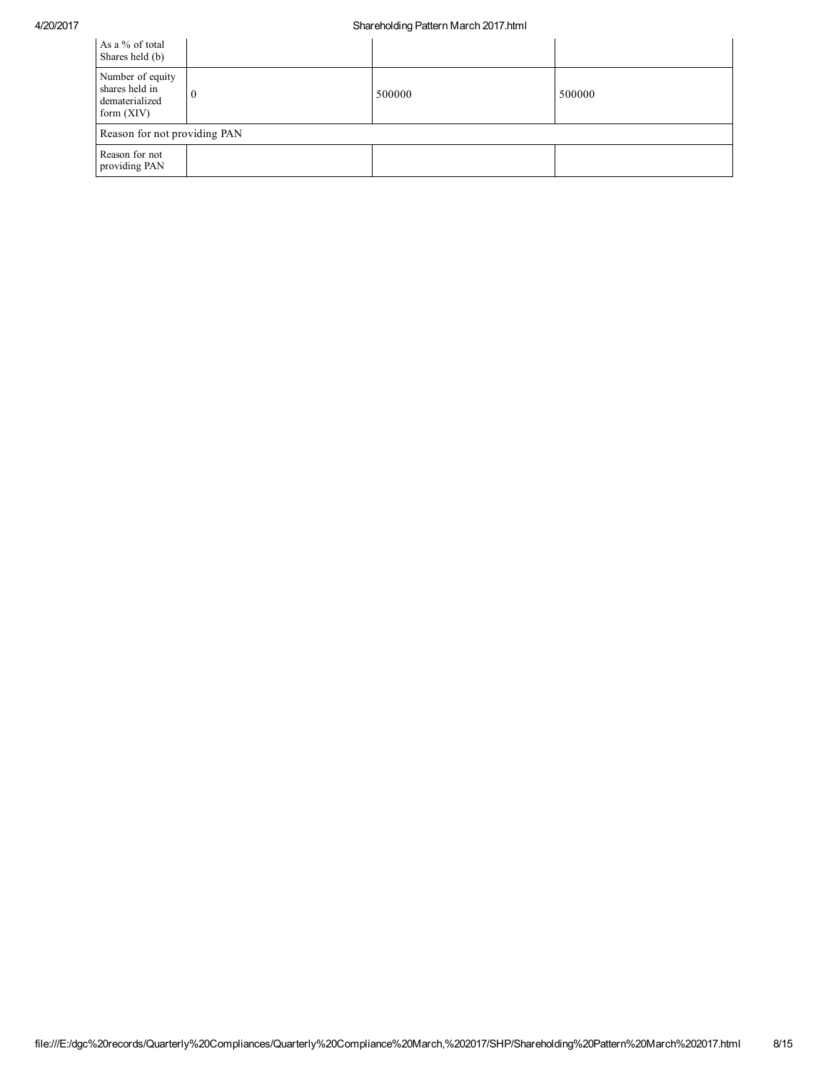## 4/20/2017 Shareholding Pattern March 2017.html

| As a % of total<br>Shares held (b)                                   |          |        |        |
|----------------------------------------------------------------------|----------|--------|--------|
| Number of equity<br>shares held in<br>dematerialized<br>form $(XIV)$ | $\Omega$ | 500000 | 500000 |
| Reason for not providing PAN                                         |          |        |        |
| Reason for not<br>providing PAN                                      |          |        |        |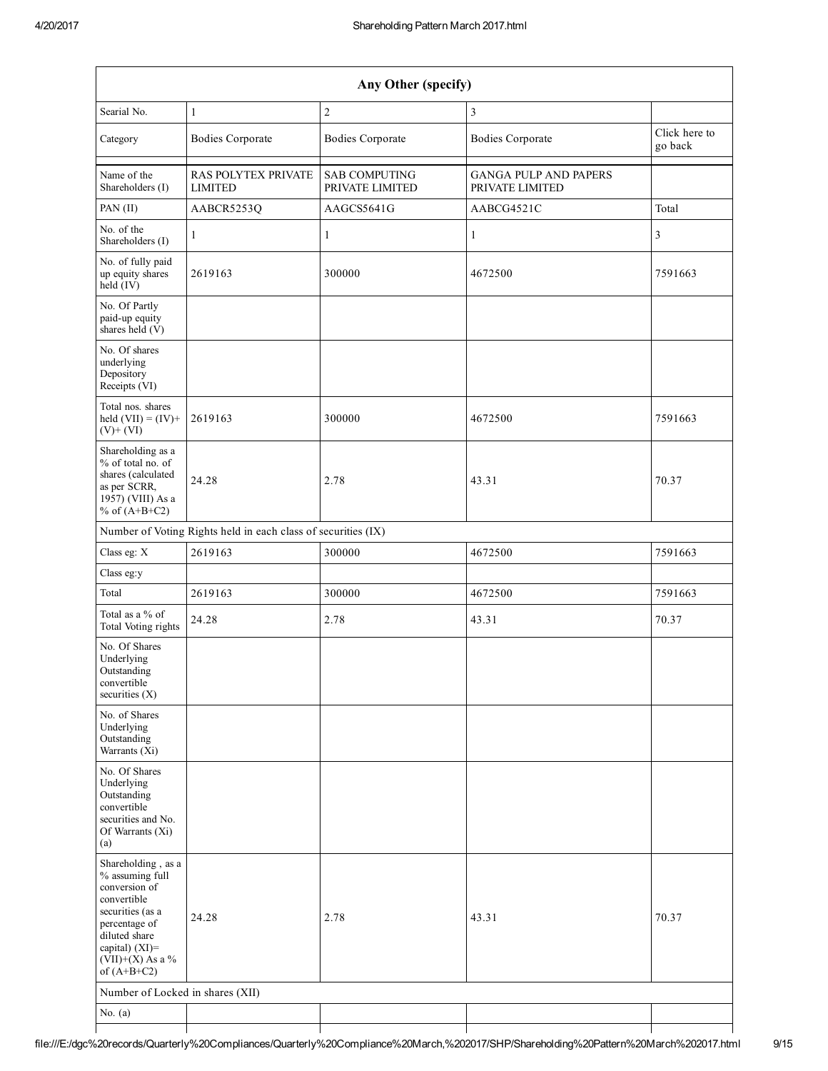| Any Other (specify)                                                                                                                                                                  |                                                               |                                         |                                                 |                          |  |  |  |  |  |
|--------------------------------------------------------------------------------------------------------------------------------------------------------------------------------------|---------------------------------------------------------------|-----------------------------------------|-------------------------------------------------|--------------------------|--|--|--|--|--|
| Searial No.                                                                                                                                                                          | $\mathbf{1}$                                                  | $\overline{c}$                          | $\overline{3}$                                  |                          |  |  |  |  |  |
| Category                                                                                                                                                                             | <b>Bodies Corporate</b>                                       | <b>Bodies Corporate</b>                 | <b>Bodies Corporate</b>                         | Click here to<br>go back |  |  |  |  |  |
| Name of the<br>Shareholders (I)                                                                                                                                                      | <b>RAS POLYTEX PRIVATE</b><br><b>LIMITED</b>                  | <b>SAB COMPUTING</b><br>PRIVATE LIMITED | <b>GANGA PULP AND PAPERS</b><br>PRIVATE LIMITED |                          |  |  |  |  |  |
| PAN $(II)$                                                                                                                                                                           | AABCR5253O                                                    | AAGCS5641G                              | AABCG4521C                                      | Total                    |  |  |  |  |  |
| No. of the<br>Shareholders (I)                                                                                                                                                       | 1                                                             | 1                                       | $\mathbf{1}$                                    | $\overline{3}$           |  |  |  |  |  |
| No. of fully paid<br>up equity shares<br>held (IV)                                                                                                                                   | 2619163                                                       | 300000                                  | 4672500                                         | 7591663                  |  |  |  |  |  |
| No. Of Partly<br>paid-up equity<br>shares held $(V)$                                                                                                                                 |                                                               |                                         |                                                 |                          |  |  |  |  |  |
| No. Of shares<br>underlying<br>Depository<br>Receipts (VI)                                                                                                                           |                                                               |                                         |                                                 |                          |  |  |  |  |  |
| Total nos. shares<br>held $(VII) = (IV) +$<br>$(V)$ + $(VI)$                                                                                                                         | 2619163                                                       | 300000                                  | 4672500                                         | 7591663                  |  |  |  |  |  |
| Shareholding as a<br>% of total no. of<br>shares (calculated<br>as per SCRR,<br>$19\overline{57}$ ) (VIII) As a<br>% of $(A+B+C2)$                                                   | 24.28                                                         | 2.78                                    | 43.31                                           | 70.37                    |  |  |  |  |  |
|                                                                                                                                                                                      | Number of Voting Rights held in each class of securities (IX) |                                         |                                                 |                          |  |  |  |  |  |
| Class eg: X                                                                                                                                                                          | 2619163                                                       | 300000                                  | 4672500                                         | 7591663                  |  |  |  |  |  |
| Class eg:y                                                                                                                                                                           |                                                               |                                         |                                                 |                          |  |  |  |  |  |
| Total                                                                                                                                                                                | 2619163                                                       | 300000                                  | 4672500                                         | 7591663                  |  |  |  |  |  |
| Total as a % of<br>Total Voting rights                                                                                                                                               | 24.28                                                         | 2.78                                    | 43.31                                           | 70.37                    |  |  |  |  |  |
| No. Of Shares<br>Underlying<br>Outstanding<br>convertible<br>securities $(X)$                                                                                                        |                                                               |                                         |                                                 |                          |  |  |  |  |  |
| No. of Shares<br>Underlying<br>Outstanding<br>Warrants (Xi)                                                                                                                          |                                                               |                                         |                                                 |                          |  |  |  |  |  |
| No. Of Shares<br>Underlying<br>Outstanding<br>convertible<br>securities and No.<br>Of Warrants (Xi)<br>(a)                                                                           |                                                               |                                         |                                                 |                          |  |  |  |  |  |
| Shareholding, as a<br>% assuming full<br>conversion of<br>convertible<br>securities (as a<br>percentage of<br>diluted share<br>capital) (XI)=<br>$(VII)+(X)$ As a %<br>of $(A+B+C2)$ | 24.28                                                         | 2.78                                    | 43.31                                           | 70.37                    |  |  |  |  |  |
| Number of Locked in shares (XII)                                                                                                                                                     |                                                               |                                         |                                                 |                          |  |  |  |  |  |
| No. $(a)$                                                                                                                                                                            |                                                               |                                         |                                                 |                          |  |  |  |  |  |
|                                                                                                                                                                                      |                                                               |                                         |                                                 |                          |  |  |  |  |  |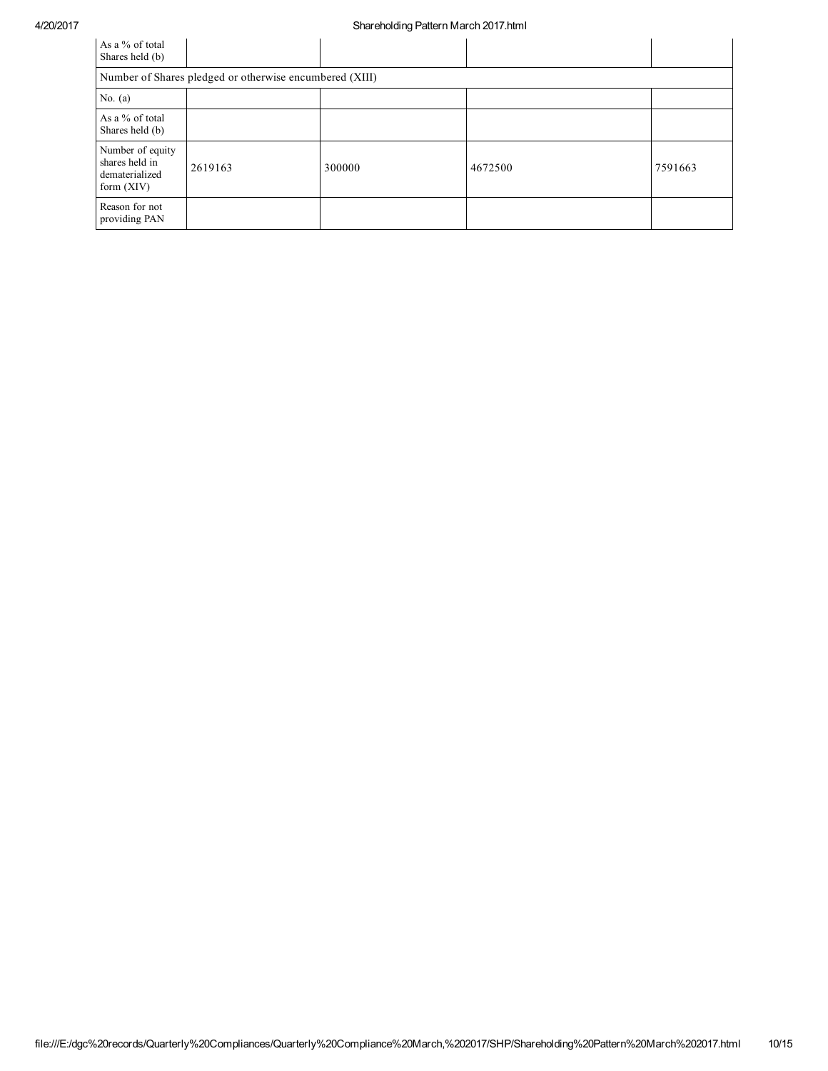| As a % of total<br>Shares held (b)                                   |         |        |         |         |  |  |  |  |
|----------------------------------------------------------------------|---------|--------|---------|---------|--|--|--|--|
| Number of Shares pledged or otherwise encumbered (XIII)              |         |        |         |         |  |  |  |  |
| No. $(a)$                                                            |         |        |         |         |  |  |  |  |
| As a % of total<br>Shares held (b)                                   |         |        |         |         |  |  |  |  |
| Number of equity<br>shares held in<br>dematerialized<br>form $(XIV)$ | 2619163 | 300000 | 4672500 | 7591663 |  |  |  |  |
| Reason for not<br>providing PAN                                      |         |        |         |         |  |  |  |  |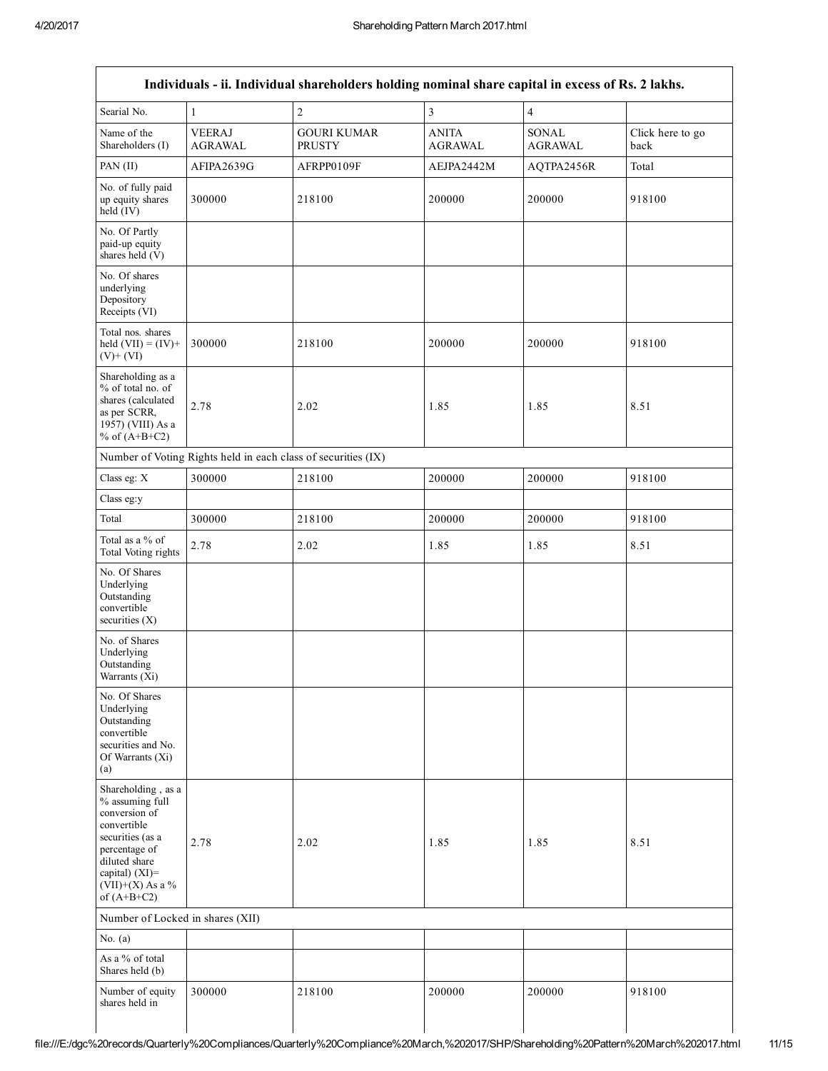| Searial No.                                                                                                                                                                          | 1                               | $\overline{c}$                                                | $\overline{\mathbf{3}}$        | $\overline{4}$          |                          |
|--------------------------------------------------------------------------------------------------------------------------------------------------------------------------------------|---------------------------------|---------------------------------------------------------------|--------------------------------|-------------------------|--------------------------|
| Name of the<br>Shareholders (I)                                                                                                                                                      | <b>VEERAJ</b><br><b>AGRAWAL</b> | <b>GOURI KUMAR</b><br><b>PRUSTY</b>                           | <b>ANITA</b><br><b>AGRAWAL</b> | SONAL<br><b>AGRAWAL</b> | Click here to go<br>back |
| PAN (II)                                                                                                                                                                             | AFIPA2639G                      | AFRPP0109F                                                    | AEJPA2442M                     | AQTPA2456R              | Total                    |
| No. of fully paid<br>up equity shares<br>held (IV)                                                                                                                                   | 300000                          | 218100                                                        | 200000                         | 200000                  | 918100                   |
| No. Of Partly<br>paid-up equity<br>shares held (V)                                                                                                                                   |                                 |                                                               |                                |                         |                          |
| No. Of shares<br>underlying<br>Depository<br>Receipts (VI)                                                                                                                           |                                 |                                                               |                                |                         |                          |
| Total nos. shares<br>held $(VII) = (IV) +$<br>$(V)+(VI)$                                                                                                                             | 300000                          | 218100                                                        | 200000                         | 200000                  | 918100                   |
| Shareholding as a<br>% of total no. of<br>shares (calculated<br>as per SCRR,<br>1957) (VIII) As a<br>% of $(A+B+C2)$                                                                 | 2.78                            | 2.02                                                          | 1.85                           | 1.85                    | 8.51                     |
|                                                                                                                                                                                      |                                 | Number of Voting Rights held in each class of securities (IX) |                                |                         |                          |
| Class eg: X                                                                                                                                                                          | 300000                          | 218100                                                        | 200000                         | 200000                  | 918100                   |
| Class eg:y                                                                                                                                                                           |                                 |                                                               |                                |                         |                          |
| Total                                                                                                                                                                                | 300000                          | 218100                                                        | 200000                         | 200000                  | 918100                   |
| Total as a % of<br>Total Voting rights                                                                                                                                               | 2.78                            | 2.02                                                          | 1.85                           | 1.85                    | 8.51                     |
| No. Of Shares<br>Underlying<br>Outstanding<br>convertible<br>securities $(X)$                                                                                                        |                                 |                                                               |                                |                         |                          |
| No. of Shares<br>Underlying<br>Outstanding<br>Warrants (Xi)                                                                                                                          |                                 |                                                               |                                |                         |                          |
| No. Of Shares<br>Underlying<br>Outstanding<br>convertible<br>securities and No.<br>Of Warrants (Xi)<br>(a)                                                                           |                                 |                                                               |                                |                         |                          |
| Shareholding, as a<br>% assuming full<br>conversion of<br>convertible<br>securities (as a<br>percentage of<br>diluted share<br>capital) (XI)=<br>$(VII)+(X)$ As a %<br>of $(A+B+C2)$ | 2.78                            | 2.02                                                          | 1.85                           | 1.85                    | 8.51                     |
| Number of Locked in shares (XII)                                                                                                                                                     |                                 |                                                               |                                |                         |                          |
| No. $(a)$                                                                                                                                                                            |                                 |                                                               |                                |                         |                          |
| As a % of total<br>Shares held (b)                                                                                                                                                   |                                 |                                                               |                                |                         |                          |
| Number of equity<br>shares held in                                                                                                                                                   | 300000                          | 218100                                                        | 200000                         | 200000                  | 918100                   |

 $\overline{\phantom{a}}$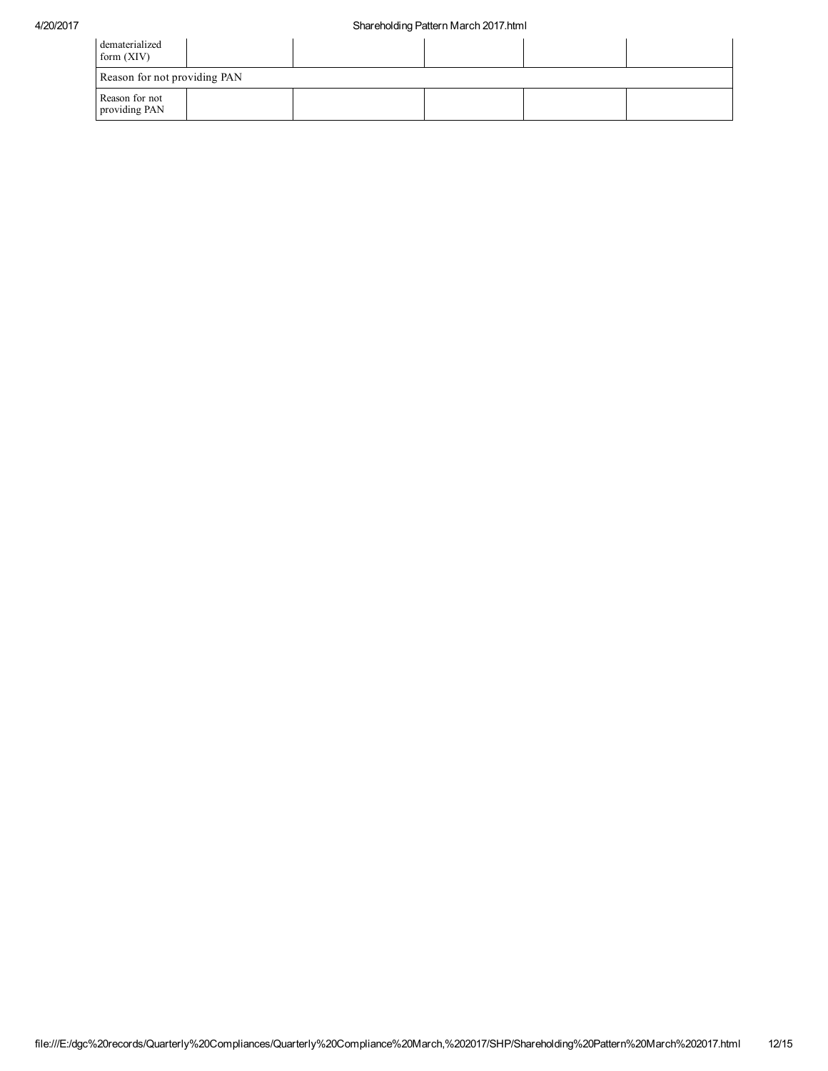| dematerialized<br>form $(XIV)$  |  |  |  |
|---------------------------------|--|--|--|
| Reason for not providing PAN    |  |  |  |
| Reason for not<br>providing PAN |  |  |  |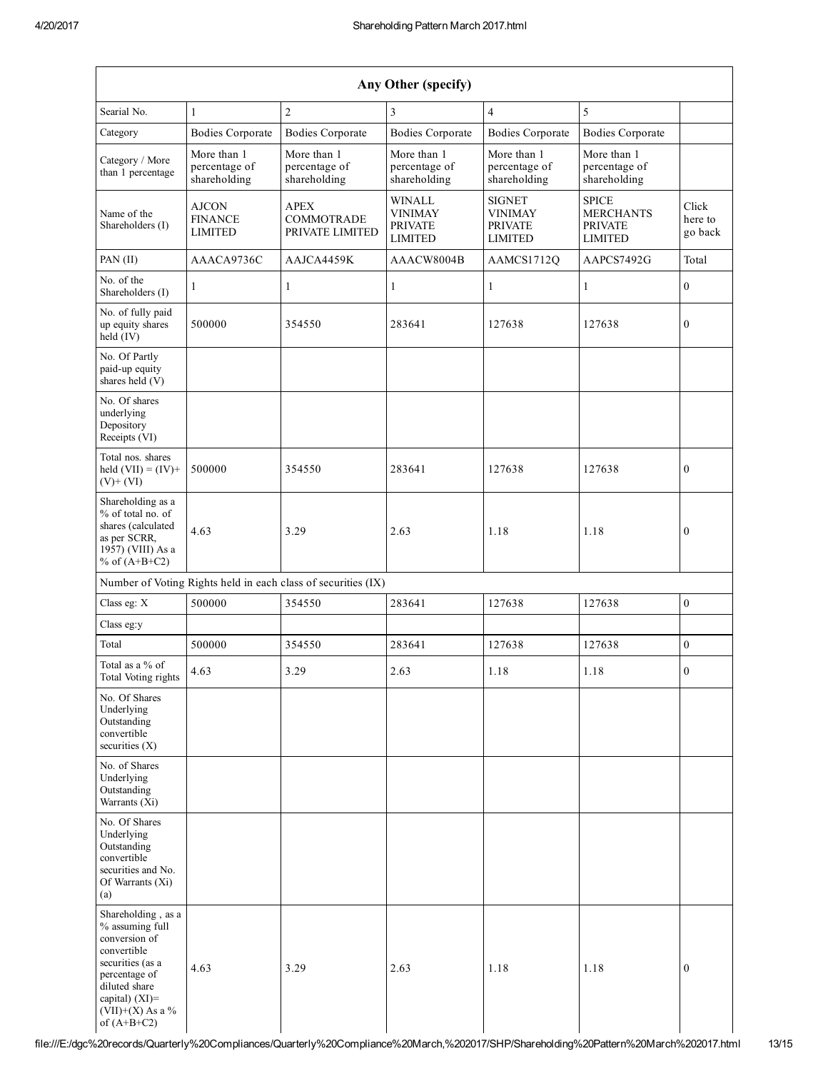| Any Other (specify)                                                                                                                                                                  |                                                               |                                              |                                                                     |                                                              |                                                                      |                             |  |  |  |  |  |
|--------------------------------------------------------------------------------------------------------------------------------------------------------------------------------------|---------------------------------------------------------------|----------------------------------------------|---------------------------------------------------------------------|--------------------------------------------------------------|----------------------------------------------------------------------|-----------------------------|--|--|--|--|--|
| Searial No.                                                                                                                                                                          | $\mathbf{1}$                                                  | $\overline{2}$                               | 3                                                                   | $\overline{4}$                                               | 5                                                                    |                             |  |  |  |  |  |
| Category                                                                                                                                                                             | <b>Bodies Corporate</b>                                       | <b>Bodies Corporate</b>                      | <b>Bodies Corporate</b>                                             | <b>Bodies Corporate</b>                                      | <b>Bodies Corporate</b>                                              |                             |  |  |  |  |  |
| Category / More<br>than 1 percentage                                                                                                                                                 | More than 1<br>percentage of<br>shareholding                  | More than 1<br>percentage of<br>shareholding | More than 1<br>percentage of<br>shareholding                        | More than 1<br>percentage of<br>shareholding                 | More than 1<br>percentage of<br>shareholding                         |                             |  |  |  |  |  |
| Name of the<br>Shareholders (I)                                                                                                                                                      | AJCON<br><b>FINANCE</b><br><b>LIMITED</b>                     | <b>APEX</b><br>COMMOTRADE<br>PRIVATE LIMITED | <b>WINALL</b><br><b>VINIMAY</b><br><b>PRIVATE</b><br><b>LIMITED</b> | <b>SIGNET</b><br><b>VINIMAY</b><br><b>PRIVATE</b><br>LIMITED | <b>SPICE</b><br><b>MERCHANTS</b><br><b>PRIVATE</b><br><b>LIMITED</b> | Click<br>here to<br>go back |  |  |  |  |  |
| PAN (II)                                                                                                                                                                             | AAACA9736C                                                    | AAJCA4459K                                   | AAACW8004B                                                          | AAMCS1712Q                                                   | AAPCS7492G                                                           | Total                       |  |  |  |  |  |
| No. of the<br>Shareholders (I)                                                                                                                                                       | 1                                                             | 1                                            | 1                                                                   | $\mathbf{1}$                                                 | 1                                                                    | $\mathbf{0}$                |  |  |  |  |  |
| No. of fully paid<br>up equity shares<br>held (IV)                                                                                                                                   | 500000                                                        | 354550                                       | 283641                                                              | 127638                                                       | 127638                                                               | $\boldsymbol{0}$            |  |  |  |  |  |
| No. Of Partly<br>paid-up equity<br>shares held (V)                                                                                                                                   |                                                               |                                              |                                                                     |                                                              |                                                                      |                             |  |  |  |  |  |
| No. Of shares<br>underlying<br>Depository<br>Receipts (VI)                                                                                                                           |                                                               |                                              |                                                                     |                                                              |                                                                      |                             |  |  |  |  |  |
| Total nos. shares<br>held $(VII) = (IV) +$<br>$(V)+(VI)$                                                                                                                             | 500000                                                        | 354550                                       | 283641                                                              | 127638                                                       | 127638                                                               | $\boldsymbol{0}$            |  |  |  |  |  |
| Shareholding as a<br>% of total no. of<br>shares (calculated<br>as per SCRR,<br>1957) (VIII) As a<br>% of $(A+B+C2)$                                                                 | 4.63                                                          | 3.29                                         | 2.63                                                                | 1.18                                                         | 1.18                                                                 | $\boldsymbol{0}$            |  |  |  |  |  |
|                                                                                                                                                                                      | Number of Voting Rights held in each class of securities (IX) |                                              |                                                                     |                                                              |                                                                      |                             |  |  |  |  |  |
| Class eg: X                                                                                                                                                                          | 500000                                                        | 354550                                       | 283641                                                              | 127638                                                       | 127638                                                               | $\boldsymbol{0}$            |  |  |  |  |  |
| Class eg:y                                                                                                                                                                           |                                                               |                                              |                                                                     |                                                              |                                                                      |                             |  |  |  |  |  |
| Total                                                                                                                                                                                | 500000                                                        | 354550                                       | 283641                                                              | 127638                                                       | 127638                                                               | $\overline{0}$              |  |  |  |  |  |
| Total as a % of<br>Total Voting rights                                                                                                                                               | 4.63                                                          | 3.29                                         | 2.63                                                                | 1.18                                                         | 1.18                                                                 | $\theta$                    |  |  |  |  |  |
| No. Of Shares<br>Underlying<br>Outstanding<br>convertible<br>securities $(X)$                                                                                                        |                                                               |                                              |                                                                     |                                                              |                                                                      |                             |  |  |  |  |  |
| No. of Shares<br>Underlying<br>Outstanding<br>Warrants $(X_i)$                                                                                                                       |                                                               |                                              |                                                                     |                                                              |                                                                      |                             |  |  |  |  |  |
| No. Of Shares<br>Underlying<br>Outstanding<br>convertible<br>securities and No.<br>Of Warrants (Xi)<br>(a)                                                                           |                                                               |                                              |                                                                     |                                                              |                                                                      |                             |  |  |  |  |  |
| Shareholding, as a<br>% assuming full<br>conversion of<br>convertible<br>securities (as a<br>percentage of<br>diluted share<br>capital) (XI)=<br>$(VII)+(X)$ As a %<br>of $(A+B+C2)$ | 4.63                                                          | 3.29                                         | 2.63                                                                | 1.18                                                         | 1.18                                                                 | $\boldsymbol{0}$            |  |  |  |  |  |